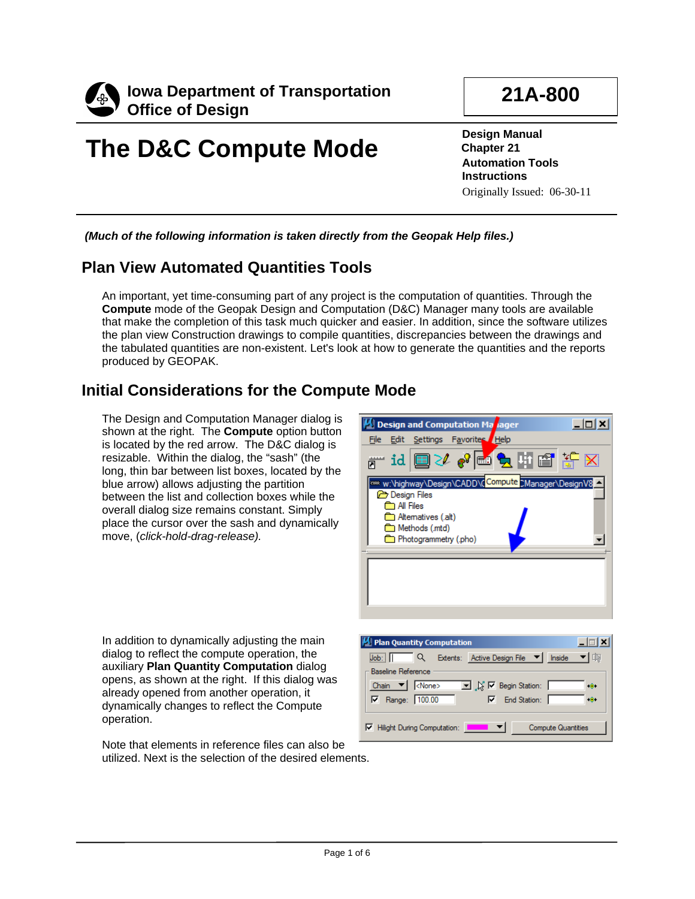

# **The D&C Compute Mode**

**21A-800**

**Design Manual Chapter 21 Automation Tools Instructions** Originally Issued: 06-30-11

*(Much of the following information is taken directly from the Geopak Help files.)*

# **Plan View Automated Quantities Tools**

An important, yet time-consuming part of any project is the computation of quantities. Through the **Compute** mode of the Geopak Design and Computation (D&C) Manager many tools are available that make the completion of this task much quicker and easier. In addition, since the software utilizes the plan view Construction drawings to compile quantities, discrepancies between the drawings and the tabulated quantities are non-existent. Let's look at how to generate the quantities and the reports produced by GEOPAK.

# **Initial Considerations for the Compute Mode**

The Design and Computation Manager dialog is shown at the right. The **Compute** option button is located by the red arrow. The D&C dialog is resizable. Within the dialog, the "sash" (the long, thin bar between list boxes, located by the blue arrow) allows adjusting the partition between the list and collection boxes while the overall dialog size remains constant. Simply place the cursor over the sash and dynamically move, (*click-hold-drag-release).*



In addition to dynamically adjusting the main dialog to reflect the compute operation, the auxiliary **Plan Quantity Computation** dialog opens, as shown at the right. If this dialog was already opened from another operation, it dynamically changes to reflect the Compute operation.

Note that elements in reference files can also be utilized. Next is the selection of the desired elements.

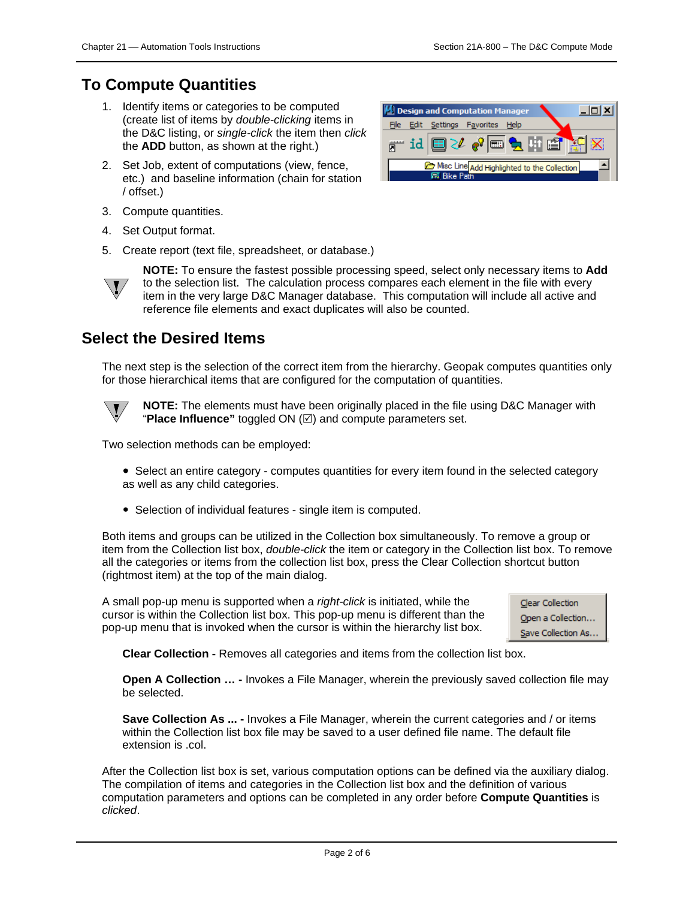# **To Compute Quantities**

- 1. Identify items or categories to be computed (create list of items by *double-clicking* items in the D&C listing, or *single-click* the item then *click* the **ADD** button, as shown at the right.)
- 2. Set Job, extent of computations (view, fence, etc.) and baseline information (chain for station / offset.)
- 3. Compute quantities.
- 4. Set Output format.
- 5. Create report (text file, spreadsheet, or database.)





**NOTE:** To ensure the fastest possible processing speed, select only necessary items to **Add**  to the selection list. The calculation process compares each element in the file with every item in the very large D&C Manager database. This computation will include all active and reference file elements and exact duplicates will also be counted.

# **Select the Desired Items**

The next step is the selection of the correct item from the hierarchy. Geopak computes quantities only for those hierarchical items that are configured for the computation of quantities.



**NOTE:** The elements must have been originally placed in the file using D&C Manager with "Place Influence" toggled  $ON \n\mathbb{Z}$  and compute parameters set.

Two selection methods can be employed:

- Select an entire category computes quantities for every item found in the selected category as well as any child categories.
- Selection of individual features single item is computed.

Both items and groups can be utilized in the Collection box simultaneously. To remove a group or item from the Collection list box, *double-click* the item or category in the Collection list box. To remove all the categories or items from the collection list box, press the Clear Collection shortcut button (rightmost item) at the top of the main dialog.

A small pop-up menu is supported when a *right-click* is initiated, while the cursor is within the Collection list box. This pop-up menu is different than the pop-up menu that is invoked when the cursor is within the hierarchy list box.



**Clear Collection -** Removes all categories and items from the collection list box.

**Open A Collection … -** Invokes a File Manager, wherein the previously saved collection file may be selected.

**Save Collection As ... -** Invokes a File Manager, wherein the current categories and / or items within the Collection list box file may be saved to a user defined file name. The default file extension is .col.

After the Collection list box is set, various computation options can be defined via the auxiliary dialog. The compilation of items and categories in the Collection list box and the definition of various computation parameters and options can be completed in any order before **Compute Quantities** is *clicked*.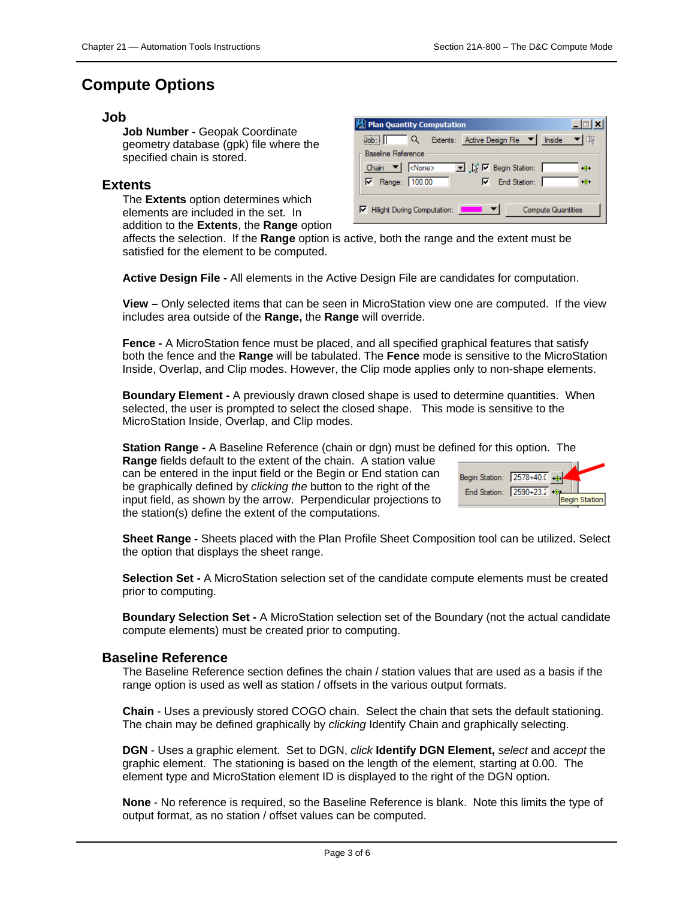## **Compute Options**

#### **Job**

**Job Number -** Geopak Coordinate geometry database (gpk) file where the specified chain is stored.

#### **Extents**

The **Extents** option determines which elements are included in the set. In addition to the **Extents**, the **Range** option

| M Plan Quantity Computation                                                                |  |
|--------------------------------------------------------------------------------------------|--|
| Extents: Active Design File ▼ Inside<br>Job:<br>$\alpha$                                   |  |
| <b>Baseline Reference</b>                                                                  |  |
| Chain $\blacktriangledown$ <none><br/>■ ※ 区 Begin Station:<br/><math>\bullet</math></none> |  |
| $\nabla$ End Station: $\sqrt{ }$<br>Range: 100.00<br>⊽<br>$\bullet$                        |  |
|                                                                                            |  |
| Hilight During Computation:<br><b>Compute Quantities</b>                                   |  |
|                                                                                            |  |

affects the selection. If the **Range** option is active, both the range and the extent must be satisfied for the element to be computed.

**Active Design File -** All elements in the Active Design File are candidates for computation.

**View –** Only selected items that can be seen in MicroStation view one are computed. If the view includes area outside of the **Range,** the **Range** will override.

**Fence -** A MicroStation fence must be placed, and all specified graphical features that satisfy both the fence and the **Range** will be tabulated. The **Fence** mode is sensitive to the MicroStation Inside, Overlap, and Clip modes. However, the Clip mode applies only to non-shape elements.

**Boundary Element -** A previously drawn closed shape is used to determine quantities. When selected, the user is prompted to select the closed shape. This mode is sensitive to the MicroStation Inside, Overlap, and Clip modes.

**Station Range -** A Baseline Reference (chain or dgn) must be defined for this option. The

**Range** fields default to the extent of the chain. A station value can be entered in the input field or the Begin or End station can be graphically defined by *clicking the* button to the right of the input field, as shown by the arrow. Perpendicular projections to the station(s) define the extent of the computations.

| Begin Station: 2578+40.0 |  |  |               |
|--------------------------|--|--|---------------|
| End Station: 2590+23.2   |  |  |               |
|                          |  |  | Begin Station |

**Sheet Range -** Sheets placed with the Plan Profile Sheet Composition tool can be utilized. Select the option that displays the sheet range.

**Selection Set -** A MicroStation selection set of the candidate compute elements must be created prior to computing.

**Boundary Selection Set -** A MicroStation selection set of the Boundary (not the actual candidate compute elements) must be created prior to computing.

#### **Baseline Reference**

The Baseline Reference section defines the chain / station values that are used as a basis if the range option is used as well as station / offsets in the various output formats.

**Chain** - Uses a previously stored COGO chain. Select the chain that sets the default stationing. The chain may be defined graphically by *clicking* Identify Chain and graphically selecting.

**DGN** - Uses a graphic element. Set to DGN, *click* **Identify DGN Element,** *select* and *accept* the graphic element. The stationing is based on the length of the element, starting at 0.00. The element type and MicroStation element ID is displayed to the right of the DGN option.

**None** - No reference is required, so the Baseline Reference is blank. Note this limits the type of output format, as no station / offset values can be computed.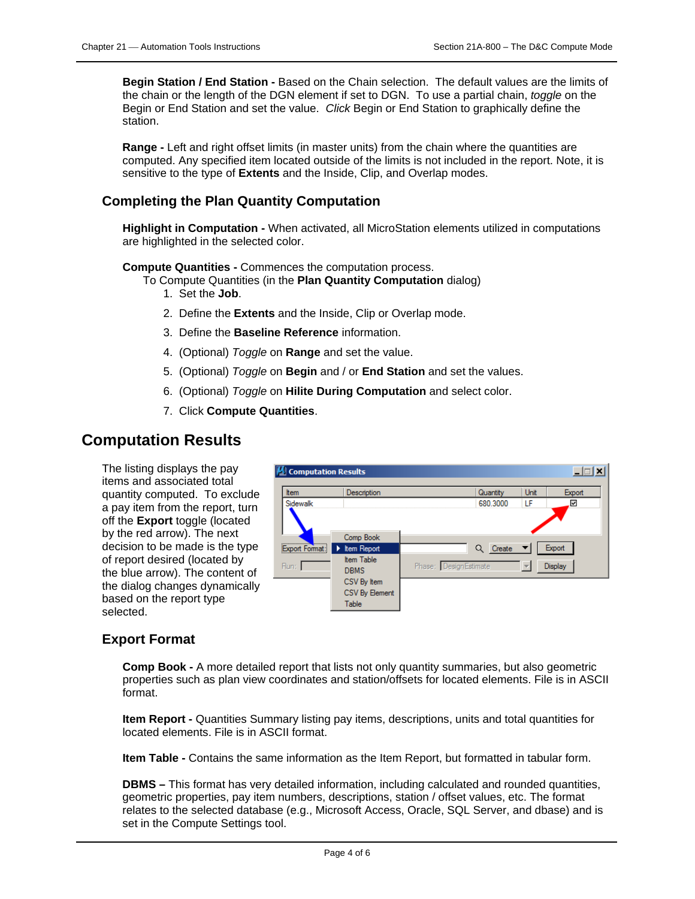**Begin Station / End Station -** Based on the Chain selection. The default values are the limits of the chain or the length of the DGN element if set to DGN. To use a partial chain, *toggle* on the Begin or End Station and set the value. *Click* Begin or End Station to graphically define the station.

**Range -** Left and right offset limits (in master units) from the chain where the quantities are computed. Any specified item located outside of the limits is not included in the report. Note, it is sensitive to the type of **Extents** and the Inside, Clip, and Overlap modes.

### **Completing the Plan Quantity Computation**

**Highlight in Computation -** When activated, all MicroStation elements utilized in computations are highlighted in the selected color.

#### **Compute Quantities -** Commences the computation process.

- To Compute Quantities (in the **Plan Quantity Computation** dialog)
	- 1. Set the **Job**.
	- 2. Define the **Extents** and the Inside, Clip or Overlap mode.
	- 3. Define the **Baseline Reference** information.
	- 4. (Optional) *Toggle* on **Range** and set the value.
	- 5. (Optional) *Toggle* on **Begin** and / or **End Station** and set the values.
	- 6. (Optional) *Toggle* on **Hilite During Computation** and select color.
	- 7. Click **Compute Quantities**.

## **Computation Results**

The listing displays the pay items and associated total quantity computed. To exclude a pay item from the report, turn off the **Export** toggle (located by the red arrow). The next decision to be made is the type of report desired (located by the blue arrow). The content of the dialog changes dynamically based on the report type selected.



### **Export Format**

**Comp Book -** A more detailed report that lists not only quantity summaries, but also geometric properties such as plan view coordinates and station/offsets for located elements. File is in ASCII format.

**Item Report -** Quantities Summary listing pay items, descriptions, units and total quantities for located elements. File is in ASCII format.

**Item Table -** Contains the same information as the Item Report, but formatted in tabular form.

**DBMS –** This format has very detailed information, including calculated and rounded quantities, geometric properties, pay item numbers, descriptions, station / offset values, etc. The format relates to the selected database (e.g., Microsoft Access, Oracle, SQL Server, and dbase) and is set in the Compute Settings tool.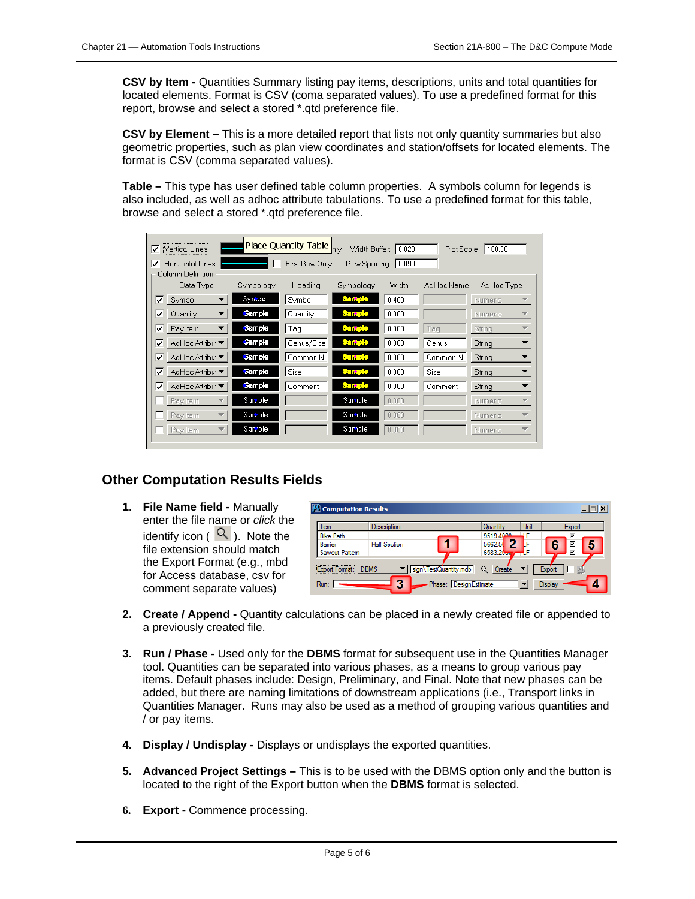**CSV by Item -** Quantities Summary listing pay items, descriptions, units and total quantities for located elements. Format is CSV (coma separated values). To use a predefined format for this report, browse and select a stored \*.qtd preference file.

**CSV by Element –** This is a more detailed report that lists not only quantity summaries but also geometric properties, such as plan view coordinates and station/offsets for located elements. The format is CSV (comma separated values).

**Table –** This type has user defined table column properties. A symbols column for legends is also included, as well as adhoc attribute tabulations. To use a predefined format for this table, browse and select a stored \*.qtd preference file.

| ⊽<br>Vertical Lines!                              |               | Place Quantity Table <sub>nly</sub> |               | Width Buffer: 0.020 |            | Plot Scale: 100.00                  |
|---------------------------------------------------|---------------|-------------------------------------|---------------|---------------------|------------|-------------------------------------|
| ⊽<br><b>Horizontal Lines</b><br>Column Definition |               | First Row Only                      |               | Row Spacing: 0.090  |            |                                     |
| Data Type                                         | Symbology     | Heading                             | Symbology     | Width               | AdHoc Name | AdHoc Type                          |
| ⊽<br>Symbol                                       | Symbol        | Symbol                              | <b>Sample</b> | 0.400               |            | <b>Numeric</b><br>▼                 |
| ⊽<br>Quantity                                     | Sample        | Quantity                            | Sample        | 0.000               |            | <b>Numeric</b><br>÷                 |
| ⊽<br>Pay Item                                     | <b>Sample</b> | Tag                                 | Sample        | 0.000               | Tag        | String<br>v                         |
| ⊽<br>AdHoc Attribut ▼                             | Sample        | Genus/Spe                           | <b>Sample</b> | 0.000               | Genus      | String                              |
| ⊽<br>AdHoc Attribut ▼                             | Sample        | Common N                            | <b>Sample</b> | 0.000               | Common N   | String                              |
| ⊽<br>AdHoc Attribut ▼                             | Sample        | Size                                | <b>Sample</b> | 0.000               | Size       | String                              |
| ⊽<br>AdHoc Attribut ▼                             | Sample        | Comment                             | <b>Sample</b> | 0.000               | Comment    | String<br>▼                         |
| Pay Item                                          | Sample        |                                     | Sample        | 0.000               |            | Numeric<br>$\overline{\phantom{a}}$ |
| Pay Item                                          | Sample        |                                     | Sample        | 0.000               |            | Numeric<br>$\overline{\phantom{a}}$ |
| Pay Item                                          | Sample        |                                     | Sample        | 0.000               |            | $\overline{\phantom{a}}$<br>Numeric |

### **Other Computation Results Fields**

**1. File Name field -** Manually enter the file name or *click* the identify icon ( $\mathcal{Q}$ ). Note the file extension should match the Export Format (e.g., mbd for Access database, csv for comment separate values)

| Item             | Description         |                       | Quantity  | Unit | Export                        |  |
|------------------|---------------------|-----------------------|-----------|------|-------------------------------|--|
| <b>Bike Path</b> |                     |                       | 9519.4000 |      | ☑                             |  |
| Bamer            | <b>Half Section</b> |                       | 5662.5    |      | 6<br>$\overline{\phantom{0}}$ |  |
| Sawcut Pattern   |                     |                       | 6583.20   |      | ⊽                             |  |
|                  |                     | sign\TestQuantity.mdb |           |      |                               |  |

- **2. Create / Append -** Quantity calculations can be placed in a newly created file or appended to a previously created file.
- **3. Run / Phase -** Used only for the **DBMS** format for subsequent use in the Quantities Manager tool. Quantities can be separated into various phases, as a means to group various pay items. Default phases include: Design, Preliminary, and Final. Note that new phases can be added, but there are naming limitations of downstream applications (i.e., Transport links in Quantities Manager. Runs may also be used as a method of grouping various quantities and / or pay items.
- **4. Display / Undisplay -** Displays or undisplays the exported quantities.
- **5. Advanced Project Settings –** This is to be used with the DBMS option only and the button is located to the right of the Export button when the **DBMS** format is selected.
- **6. Export -** Commence processing.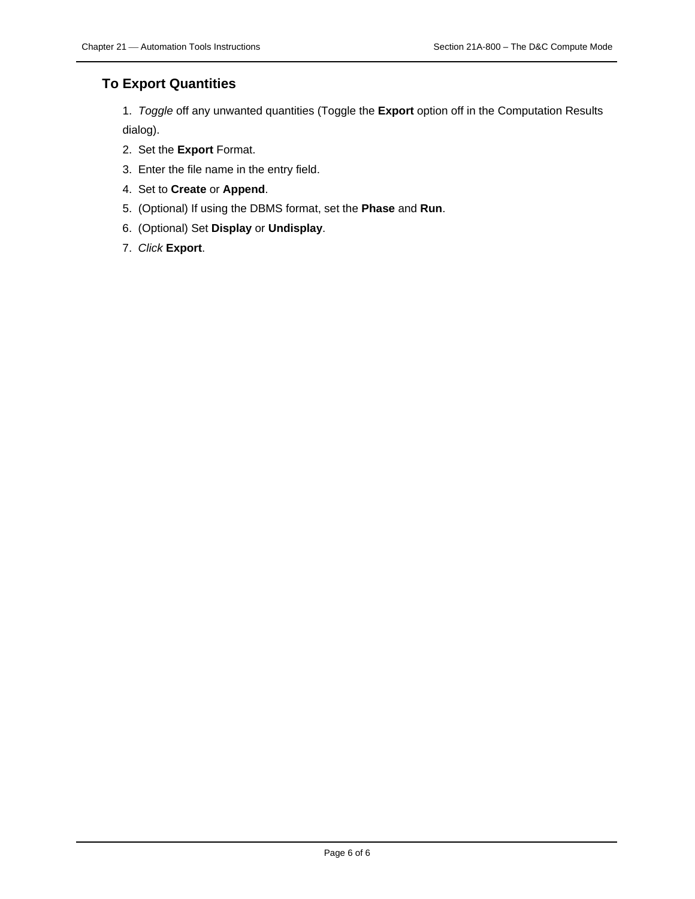### **To Export Quantities**

1. *Toggle* off any unwanted quantities (Toggle the **Export** option off in the Computation Results dialog).

- 2. Set the **Export** Format.
- 3. Enter the file name in the entry field.
- 4. Set to **Create** or **Append**.
- 5. (Optional) If using the DBMS format, set the **Phase** and **Run**.
- 6. (Optional) Set **Display** or **Undisplay**.
- 7. *Click* **Export**.